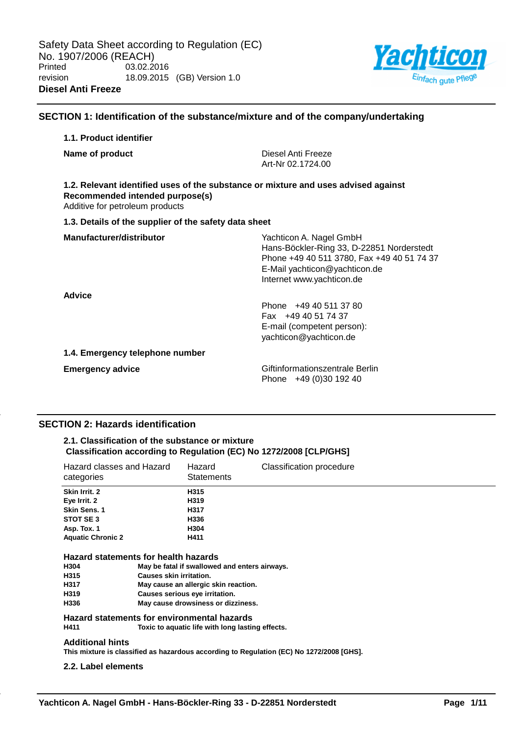

## **SECTION 1: Identification of the substance/mixture and of the company/undertaking**

# **1.1. Product identifier**

| Name of product                                                                                                                                          | Diesel Anti Freeze<br>Art-Nr 02.1724.00                                                                                                                                          |
|----------------------------------------------------------------------------------------------------------------------------------------------------------|----------------------------------------------------------------------------------------------------------------------------------------------------------------------------------|
| 1.2. Relevant identified uses of the substance or mixture and uses advised against<br>Recommended intended purpose(s)<br>Additive for petroleum products |                                                                                                                                                                                  |
| 1.3. Details of the supplier of the safety data sheet                                                                                                    |                                                                                                                                                                                  |
| Manufacturer/distributor                                                                                                                                 | Yachticon A. Nagel GmbH<br>Hans-Böckler-Ring 33, D-22851 Norderstedt<br>Phone +49 40 511 3780, Fax +49 40 51 74 37<br>E-Mail yachticon@yachticon.de<br>Internet www.yachticon.de |
| <b>Advice</b>                                                                                                                                            | Phone +49 40 511 37 80<br>Fax +49 40 51 74 37<br>E-mail (competent person):<br>yachticon@yachticon.de                                                                            |

#### **1.4. Emergency telephone number**

**Emergency advice Emergency advice Giftinformationszentrale Berlin** Phone +49 (0)30 192 40

# **SECTION 2: Hazards identification**

### **2.1. Classification of the substance or mixture Classification according to Regulation (EC) No 1272/2008 [CLP/GHS]**

| Hazard classes and Hazard<br>categories                              |                                | Hazard<br><b>Statements</b>                                                                                             | Classification procedure                                                                 |
|----------------------------------------------------------------------|--------------------------------|-------------------------------------------------------------------------------------------------------------------------|------------------------------------------------------------------------------------------|
| Skin Irrit. 2                                                        |                                | H315                                                                                                                    |                                                                                          |
| Eye Irrit. 2                                                         |                                | H319                                                                                                                    |                                                                                          |
| <b>Skin Sens. 1</b>                                                  |                                | H317                                                                                                                    |                                                                                          |
| STOT SE3                                                             |                                | H336                                                                                                                    |                                                                                          |
| Asp. Tox. 1                                                          |                                | H304                                                                                                                    |                                                                                          |
| <b>Aquatic Chronic 2</b>                                             |                                | H411                                                                                                                    |                                                                                          |
| Hazard statements for health hazards<br>H304<br>H315<br>H317<br>H319 | <b>Causes skin irritation.</b> | May be fatal if swallowed and enters airways.<br>May cause an allergic skin reaction.<br>Causes serious eye irritation. |                                                                                          |
| H336                                                                 |                                | May cause drowsiness or dizziness.                                                                                      |                                                                                          |
| Hazard statements for environmental hazards                          |                                |                                                                                                                         |                                                                                          |
| H411                                                                 |                                | Toxic to aquatic life with long lasting effects.                                                                        |                                                                                          |
| <b>Additional hints</b>                                              |                                |                                                                                                                         | This mixture is classified as hazardous according to Regulation (EC) No 1272/2008 [GHS]. |

### **2.2. Label elements**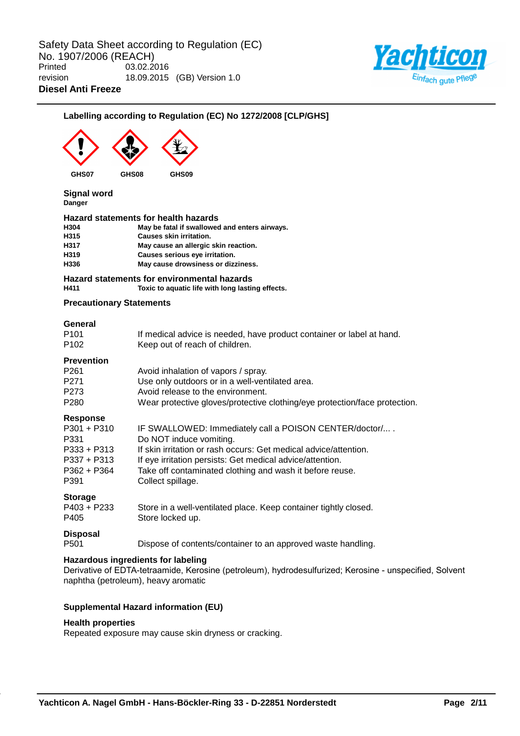

# **Labelling according to Regulation (EC) No 1272/2008 [CLP/GHS]**



**Signal word Danger**

### **Hazard statements for health hazards**

| H304 | May be fatal if swallowed and enters airways. |
|------|-----------------------------------------------|
| H315 | <b>Causes skin irritation.</b>                |
| H317 | May cause an allergic skin reaction.          |
| H319 | Causes serious eye irritation.                |
| H336 | May cause drowsiness or dizziness.            |
|      |                                               |

### **Hazard statements for environmental hazards H411 Toxic to aquatic life with long lasting effects.**

### **Precautionary Statements**

# **General**

| ovnom<br>P <sub>101</sub><br>P <sub>102</sub>                                                | If medical advice is needed, have product container or label at hand.<br>Keep out of reach of children.                                                                                                                                                                                             |
|----------------------------------------------------------------------------------------------|-----------------------------------------------------------------------------------------------------------------------------------------------------------------------------------------------------------------------------------------------------------------------------------------------------|
| <b>Prevention</b><br>P <sub>261</sub><br>P <sub>271</sub><br>P273<br>P <sub>280</sub>        | Avoid inhalation of vapors / spray.<br>Use only outdoors or in a well-ventilated area.<br>Avoid release to the environment.<br>Wear protective gloves/protective clothing/eye protection/face protection.                                                                                           |
| Response<br>$P301 + P310$<br>P331<br>$P333 + P313$<br>$P337 + P313$<br>$P362 + P364$<br>P391 | IF SWALLOWED: Immediately call a POISON CENTER/doctor/<br>Do NOT induce vomiting.<br>If skin irritation or rash occurs: Get medical advice/attention.<br>If eye irritation persists: Get medical advice/attention.<br>Take off contaminated clothing and wash it before reuse.<br>Collect spillage. |
| <b>Storage</b><br>$P403 + P233$<br>P405                                                      | Store in a well-ventilated place. Keep container tightly closed.<br>Store locked up.                                                                                                                                                                                                                |
| <b>Disposal</b><br>P <sub>501</sub>                                                          | Dispose of contents/container to an approved waste handling.                                                                                                                                                                                                                                        |

### **Hazardous ingredients for labeling**

Derivative of EDTA-tetraamide, Kerosine (petroleum), hydrodesulfurized; Kerosine - unspecified, Solvent naphtha (petroleum), heavy aromatic

# **Supplemental Hazard information (EU)**

#### **Health properties**

Repeated exposure may cause skin dryness or cracking.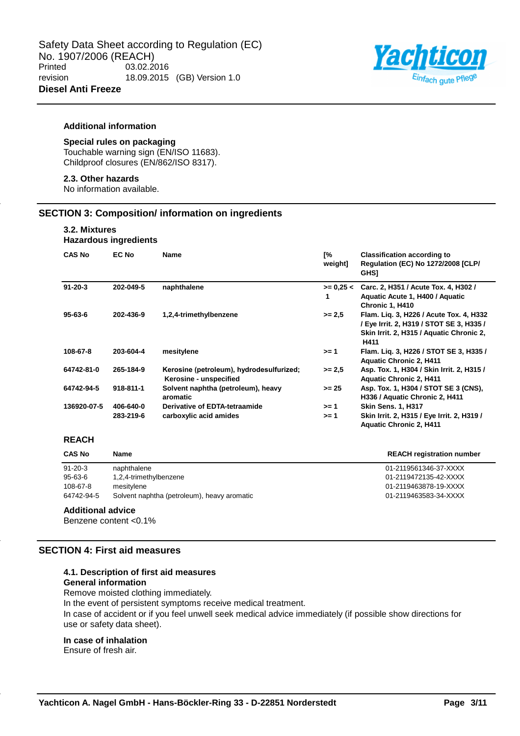

## **Additional information**

# **Special rules on packaging**

Touchable warning sign (EN/ISO 11683). Childproof closures (EN/862/ISO 8317).

# **2.3. Other hazards**

No information available.

### **SECTION 3: Composition/ information on ingredients**

# **3.2. Mixtures**

# **Hazardous ingredients**

| <b>CAS No</b> | EC No     | <b>Name</b>                                                        | Г%<br>weight]    | <b>Classification according to</b><br><b>Regulation (EC) No 1272/2008 [CLP/</b><br><b>GHS1</b>                                          |
|---------------|-----------|--------------------------------------------------------------------|------------------|-----------------------------------------------------------------------------------------------------------------------------------------|
| $91 - 20 - 3$ | 202-049-5 | naphthalene                                                        | $>= 0.25 <$<br>1 | Carc. 2, H351 / Acute Tox. 4, H302 /<br>Aquatic Acute 1, H400 / Aquatic<br>Chronic 1, H410                                              |
| $95 - 63 - 6$ | 202-436-9 | 1,2,4-trimethylbenzene                                             | $>= 2.5$         | Flam. Lig. 3, H226 / Acute Tox. 4, H332<br>/ Eye Irrit. 2, H319 / STOT SE 3, H335 /<br>Skin Irrit. 2, H315 / Aquatic Chronic 2,<br>H411 |
| 108-67-8      | 203-604-4 | mesitylene                                                         | $>= 1$           | Flam. Lig. 3, H226 / STOT SE 3, H335 /<br><b>Aquatic Chronic 2, H411</b>                                                                |
| 64742-81-0    | 265-184-9 | Kerosine (petroleum), hydrodesulfurized;<br>Kerosine - unspecified | $>= 2.5$         | Asp. Tox. 1, H304 / Skin Irrit. 2, H315 /<br><b>Aquatic Chronic 2, H411</b>                                                             |
| 64742-94-5    | 918-811-1 | Solvent naphtha (petroleum), heavy<br>aromatic                     | $>= 25$          | Asp. Tox. 1, H304 / STOT SE 3 (CNS),<br>H336 / Aquatic Chronic 2, H411                                                                  |
| 136920-07-5   | 406-640-0 | Derivative of EDTA-tetraamide                                      | $>= 1$           | <b>Skin Sens. 1, H317</b>                                                                                                               |
|               | 283-219-6 | carboxylic acid amides                                             | >= 1             | Skin Irrit. 2, H315 / Eye Irrit. 2, H319 /<br><b>Aquatic Chronic 2, H411</b>                                                            |

# **REACH**

| <b>CAS No</b> | Name                                        | <b>REACH registration number</b> |
|---------------|---------------------------------------------|----------------------------------|
| $91 - 20 - 3$ | naphthalene                                 | 01-2119561346-37-XXXX            |
| $95 - 63 - 6$ | 1,2,4-trimethylbenzene                      | 01-2119472135-42-XXXX            |
| 108-67-8      | mesitylene                                  | 01-2119463878-19-XXXX            |
| 64742-94-5    | Solvent naphtha (petroleum), heavy aromatic | 01-2119463583-34-XXXX            |

### **Additional advice**

Benzene content <0.1%

# **SECTION 4: First aid measures**

# **4.1. Description of first aid measures**

# **General information**

Remove moisted clothing immediately.

In the event of persistent symptoms receive medical treatment.

In case of accident or if you feel unwell seek medical advice immediately (if possible show directions for use or safety data sheet).

#### **In case of inhalation**

Ensure of fresh air.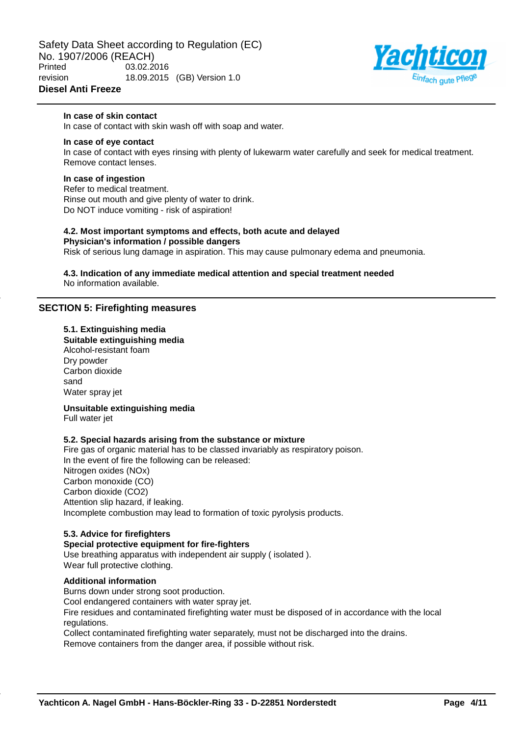

# **In case of skin contact**

In case of contact with skin wash off with soap and water.

#### **In case of eye contact**

In case of contact with eyes rinsing with plenty of lukewarm water carefully and seek for medical treatment. Remove contact lenses.

### **In case of ingestion**

Refer to medical treatment. Rinse out mouth and give plenty of water to drink. Do NOT induce vomiting - risk of aspiration!

# **4.2. Most important symptoms and effects, both acute and delayed**

**Physician's information / possible dangers** Risk of serious lung damage in aspiration. This may cause pulmonary edema and pneumonia.

**4.3. Indication of any immediate medical attention and special treatment needed** No information available.

### **SECTION 5: Firefighting measures**

### **5.1. Extinguishing media**

**Suitable extinguishing media** Alcohol-resistant foam

Dry powder Carbon dioxide sand Water spray jet

**Unsuitable extinguishing media** Full water jet

### **5.2. Special hazards arising from the substance or mixture**

Fire gas of organic material has to be classed invariably as respiratory poison. In the event of fire the following can be released: Nitrogen oxides (NOx) Carbon monoxide (CO) Carbon dioxide (CO2) Attention slip hazard, if leaking. Incomplete combustion may lead to formation of toxic pyrolysis products.

### **5.3. Advice for firefighters**

### **Special protective equipment for fire-fighters**

Burns down under strong soot production.

Use breathing apparatus with independent air supply ( isolated ). Wear full protective clothing.

### **Additional information**

Cool endangered containers with water spray jet. Fire residues and contaminated firefighting water must be disposed of in accordance with the local regulations.

Collect contaminated firefighting water separately, must not be discharged into the drains. Remove containers from the danger area, if possible without risk.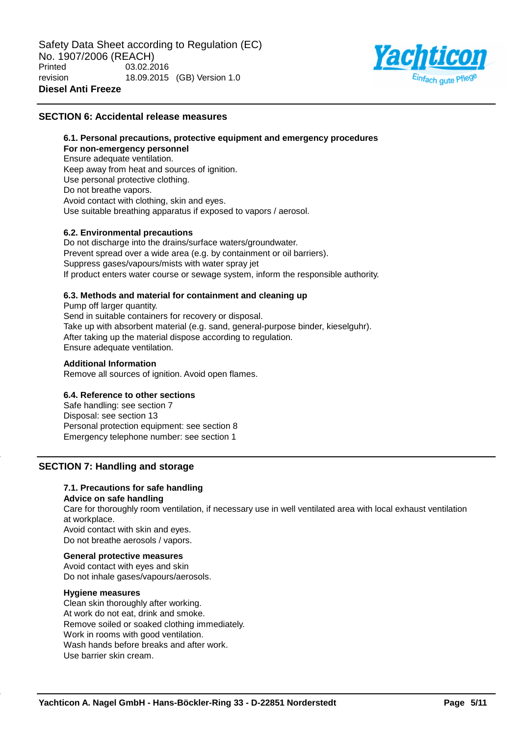

## **SECTION 6: Accidental release measures**

### **6.1. Personal precautions, protective equipment and emergency procedures For non-emergency personnel** Ensure adequate ventilation. Keep away from heat and sources of ignition. Use personal protective clothing. Do not breathe vapors. Avoid contact with clothing, skin and eyes. Use suitable breathing apparatus if exposed to vapors / aerosol.

### **6.2. Environmental precautions**

Do not discharge into the drains/surface waters/groundwater. Prevent spread over a wide area (e.g. by containment or oil barriers). Suppress gases/vapours/mists with water spray jet If product enters water course or sewage system, inform the responsible authority.

### **6.3. Methods and material for containment and cleaning up**

Pump off larger quantity. Send in suitable containers for recovery or disposal. Take up with absorbent material (e.g. sand, general-purpose binder, kieselguhr). After taking up the material dispose according to regulation. Ensure adequate ventilation.

#### **Additional Information**

Remove all sources of ignition. Avoid open flames.

### **6.4. Reference to other sections**

Safe handling: see section 7 Disposal: see section 13 Personal protection equipment: see section 8 Emergency telephone number: see section 1

# **SECTION 7: Handling and storage**

#### **7.1. Precautions for safe handling Advice on safe handling**

Care for thoroughly room ventilation, if necessary use in well ventilated area with local exhaust ventilation at workplace. Avoid contact with skin and eyes.

Do not breathe aerosols / vapors.

### **General protective measures**

Avoid contact with eyes and skin Do not inhale gases/vapours/aerosols.

### **Hygiene measures**

Clean skin thoroughly after working. At work do not eat, drink and smoke. Remove soiled or soaked clothing immediately. Work in rooms with good ventilation. Wash hands before breaks and after work. Use barrier skin cream.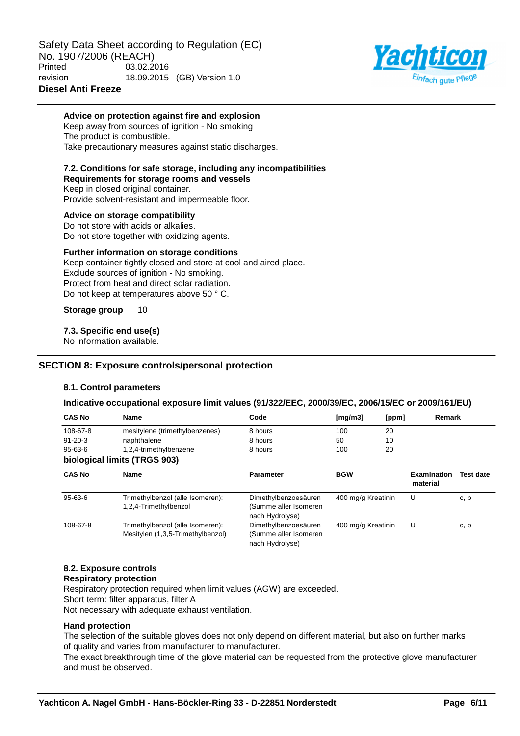

### **Advice on protection against fire and explosion**

Keep away from sources of ignition - No smoking The product is combustible. Take precautionary measures against static discharges.

### **7.2. Conditions for safe storage, including any incompatibilities**

**Requirements for storage rooms and vessels** Keep in closed original container. Provide solvent-resistant and impermeable floor.

**Advice on storage compatibility** Do not store with acids or alkalies. Do not store together with oxidizing agents.

### **Further information on storage conditions**

Keep container tightly closed and store at cool and aired place. Exclude sources of ignition - No smoking. Protect from heat and direct solar radiation. Do not keep at temperatures above 50 ° C.

**Storage group** 10

### **7.3. Specific end use(s)**

No information available.

### **SECTION 8: Exposure controls/personal protection**

### **8.1. Control parameters**

### **Indicative occupational exposure limit values (91/322/EEC, 2000/39/EC, 2006/15/EC or 2009/161/EU)**

| <b>CAS No</b> | <b>Name</b>                                                           | Code                                                             | Imq/m31            | [ppm] | Remark                         |                  |
|---------------|-----------------------------------------------------------------------|------------------------------------------------------------------|--------------------|-------|--------------------------------|------------------|
| 108-67-8      | mesitylene (trimethylbenzenes)                                        | 8 hours                                                          | 100                | 20    |                                |                  |
| $91 - 20 - 3$ | naphthalene                                                           | 8 hours                                                          | 50                 | 10    |                                |                  |
| $95 - 63 - 6$ | 1,2,4-trimethylbenzene                                                | 8 hours                                                          | 100                | 20    |                                |                  |
|               | biological limits (TRGS 903)                                          |                                                                  |                    |       |                                |                  |
| <b>CAS No</b> | <b>Name</b>                                                           | <b>Parameter</b>                                                 | <b>BGW</b>         |       | <b>Examination</b><br>material | <b>Test date</b> |
| $95 - 63 - 6$ | Trimethylbenzol (alle Isomeren):<br>1,2,4-Trimethylbenzol             | Dimethylbenzoesäuren<br>(Summe aller Isomeren<br>nach Hydrolyse) | 400 mg/g Kreatinin |       | U                              | c, b             |
| 108-67-8      | Trimethylbenzol (alle Isomeren):<br>Mesitylen (1,3,5-Trimethylbenzol) | Dimethylbenzoesäuren<br>(Summe aller Isomeren<br>nach Hydrolyse) | 400 mg/g Kreatinin |       | U                              | c, b             |

# **8.2. Exposure controls**

### **Respiratory protection**

Respiratory protection required when limit values (AGW) are exceeded.

Short term: filter apparatus, filter A

Not necessary with adequate exhaust ventilation.

#### **Hand protection**

The selection of the suitable gloves does not only depend on different material, but also on further marks of quality and varies from manufacturer to manufacturer.

The exact breakthrough time of the glove material can be requested from the protective glove manufacturer and must be observed.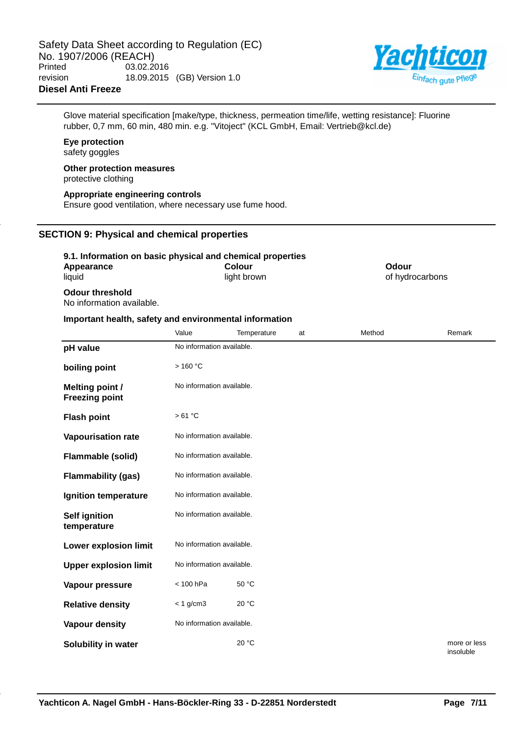

Glove material specification [make/type, thickness, permeation time/life, wetting resistance]: Fluorine rubber, 0,7 mm, 60 min, 480 min. e.g. "Vitoject" (KCL GmbH, Email: Vertrieb@kcl.de)

# **Eye protection**

safety goggles

#### **Other protection measures** protective clothing

**Appropriate engineering controls** Ensure good ventilation, where necessary use fume hood.

# **SECTION 9: Physical and chemical properties**

### **9.1. Information on basic physical and chemical properties**

| Appearance                                                                                                         | Colour      | Odour           |
|--------------------------------------------------------------------------------------------------------------------|-------------|-----------------|
| liquid                                                                                                             | light brown | of hydrocarbons |
| <b>Odour threshold</b><br>$\mathbf{r}$ , and $\mathbf{r}$ , and $\mathbf{r}$ , and $\mathbf{r}$ , and $\mathbf{r}$ |             |                 |

No information available.

### **Important health, safety and environmental information**

|                                                 | Value                     | Temperature               | at | Method | Remark                    |  |  |
|-------------------------------------------------|---------------------------|---------------------------|----|--------|---------------------------|--|--|
| pH value                                        |                           | No information available. |    |        |                           |  |  |
| boiling point                                   | >160 °C                   |                           |    |        |                           |  |  |
| <b>Melting point /</b><br><b>Freezing point</b> | No information available. |                           |    |        |                           |  |  |
| <b>Flash point</b>                              | >61 °C                    |                           |    |        |                           |  |  |
| <b>Vapourisation rate</b>                       | No information available. |                           |    |        |                           |  |  |
| Flammable (solid)                               | No information available. |                           |    |        |                           |  |  |
| <b>Flammability (gas)</b>                       | No information available. |                           |    |        |                           |  |  |
| Ignition temperature                            | No information available. |                           |    |        |                           |  |  |
| <b>Self ignition</b><br>temperature             | No information available. |                           |    |        |                           |  |  |
| <b>Lower explosion limit</b>                    | No information available. |                           |    |        |                           |  |  |
| <b>Upper explosion limit</b>                    | No information available. |                           |    |        |                           |  |  |
| Vapour pressure                                 | < 100 hPa                 | 50 °C                     |    |        |                           |  |  |
| <b>Relative density</b>                         | $< 1$ g/cm3               | 20 °C                     |    |        |                           |  |  |
| Vapour density                                  | No information available. |                           |    |        |                           |  |  |
| Solubility in water                             |                           | 20 °C                     |    |        | more or less<br>insoluble |  |  |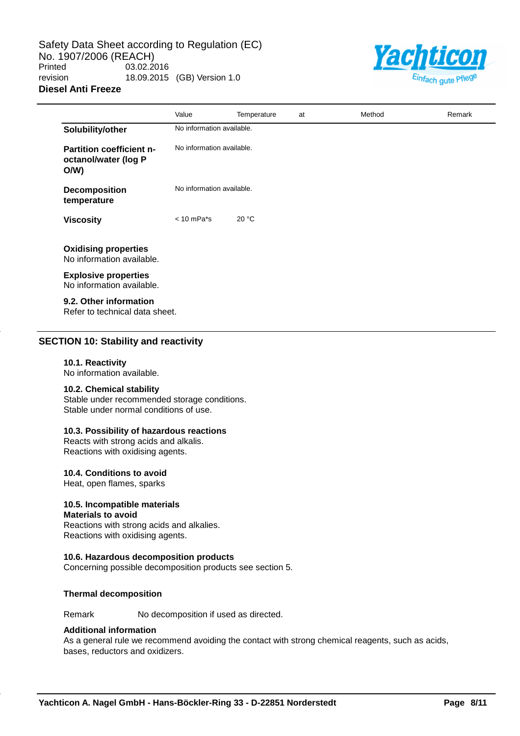Safety Data Sheet according to Regulation (EC) No. 1907/2006 (REACH)<br>Printed 03.02.2 03.02.2016 revision 18.09.2015 (GB) Version 1.0 **Diesel Anti Freeze**



|                                                                | Value                     | Temperature | at | Method | Remark |
|----------------------------------------------------------------|---------------------------|-------------|----|--------|--------|
| Solubility/other                                               | No information available. |             |    |        |        |
| <b>Partition coefficient n-</b><br>octanol/water (log P<br>O/W | No information available. |             |    |        |        |
| <b>Decomposition</b><br>temperature                            | No information available. |             |    |        |        |
| <b>Viscosity</b>                                               | $< 10$ mPa $*$ s          | 20 °C       |    |        |        |
| <b>Oxidising properties</b><br>No information available.       |                           |             |    |        |        |
| <b>Explosive properties</b><br>No information available.       |                           |             |    |        |        |
| 9.2. Other information<br>Refer to technical data sheet.       |                           |             |    |        |        |

# **SECTION 10: Stability and reactivity**

### **10.1. Reactivity**

No information available.

### **10.2. Chemical stability**

Stable under recommended storage conditions. Stable under normal conditions of use.

# **10.3. Possibility of hazardous reactions**

Reacts with strong acids and alkalis. Reactions with oxidising agents.

# **10.4. Conditions to avoid**

Heat, open flames, sparks

# **10.5. Incompatible materials**

#### **Materials to avoid**

Reactions with strong acids and alkalies. Reactions with oxidising agents.

#### **10.6. Hazardous decomposition products**

Concerning possible decomposition products see section 5.

### **Thermal decomposition**

Remark No decomposition if used as directed.

### **Additional information**

As a general rule we recommend avoiding the contact with strong chemical reagents, such as acids, bases, reductors and oxidizers.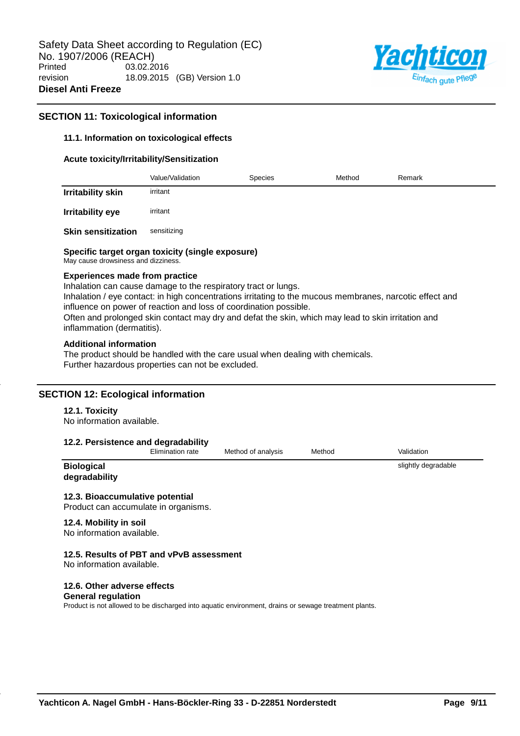

## **SECTION 11: Toxicological information**

### **11.1. Information on toxicological effects**

#### **Acute toxicity/Irritability/Sensitization**

|                           | Value/Validation | <b>Species</b> | Method | Remark |
|---------------------------|------------------|----------------|--------|--------|
| <b>Irritability skin</b>  | irritant         |                |        |        |
| Irritability eye          | irritant         |                |        |        |
| <b>Skin sensitization</b> | sensitizing      |                |        |        |

#### **Specific target organ toxicity (single exposure)**

May cause drowsiness and dizziness.

#### **Experiences made from practice**

Inhalation can cause damage to the respiratory tract or lungs. Inhalation / eye contact: in high concentrations irritating to the mucous membranes, narcotic effect and influence on power of reaction and loss of coordination possible. Often and prolonged skin contact may dry and defat the skin, which may lead to skin irritation and inflammation (dermatitis).

#### **Additional information**

The product should be handled with the care usual when dealing with chemicals. Further hazardous properties can not be excluded.

### **SECTION 12: Ecological information**

#### **12.1. Toxicity**

No information available.

#### **12.2. Persistence and degradability**

| <b>Elimination rate</b> |  |
|-------------------------|--|
|                         |  |

Method of analysis Method Validation

slightly degradable

#### **Biological degradability**

### **12.3. Bioaccumulative potential**

Product can accumulate in organisms.

### **12.4. Mobility in soil**

No information available.

#### **12.5. Results of PBT and vPvB assessment**

No information available.

### **12.6. Other adverse effects**

#### **General regulation**

Product is not allowed to be discharged into aquatic environment, drains or sewage treatment plants.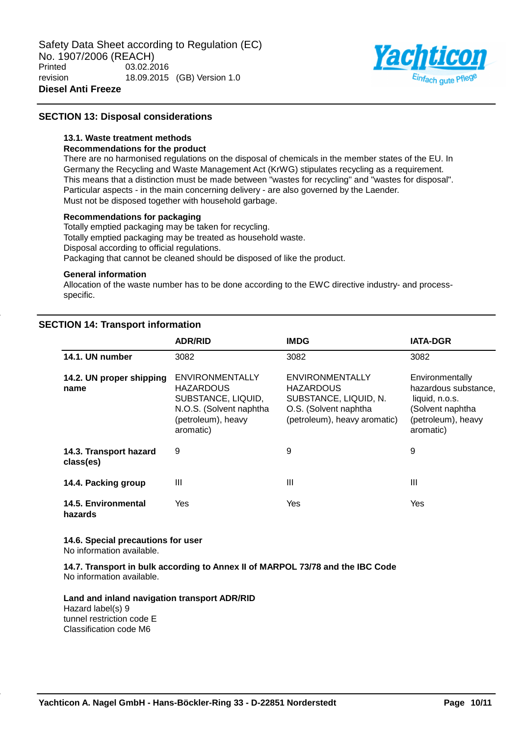

# **SECTION 13: Disposal considerations**

## **13.1. Waste treatment methods**

### **Recommendations for the product**

There are no harmonised regulations on the disposal of chemicals in the member states of the EU. In Germany the Recycling and Waste Management Act (KrWG) stipulates recycling as a requirement. This means that a distinction must be made between "wastes for recycling" and "wastes for disposal". Particular aspects - in the main concerning delivery - are also governed by the Laender. Must not be disposed together with household garbage.

### **Recommendations for packaging**

Totally emptied packaging may be taken for recycling. Totally emptied packaging may be treated as household waste. Disposal according to official regulations. Packaging that cannot be cleaned should be disposed of like the product.

#### **General information**

Allocation of the waste number has to be done according to the EWC directive industry- and processspecific.

# **SECTION 14: Transport information**

|                                     | <b>ADR/RID</b>                                                                                                                 | <b>IMDG</b>                                                                                                                  | <b>IATA-DGR</b>                                                                                                  |
|-------------------------------------|--------------------------------------------------------------------------------------------------------------------------------|------------------------------------------------------------------------------------------------------------------------------|------------------------------------------------------------------------------------------------------------------|
| 14.1. UN number                     | 3082                                                                                                                           | 3082                                                                                                                         | 3082                                                                                                             |
| 14.2. UN proper shipping<br>name    | <b>ENVIRONMENTALLY</b><br><b>HAZARDOUS</b><br>SUBSTANCE, LIQUID,<br>N.O.S. (Solvent naphtha<br>(petroleum), heavy<br>aromatic) | <b>ENVIRONMENTALLY</b><br><b>HAZARDOUS</b><br>SUBSTANCE, LIQUID, N.<br>O.S. (Solvent naphtha<br>(petroleum), heavy aromatic) | Environmentally<br>hazardous substance,<br>liquid, n.o.s.<br>(Solvent naphtha<br>(petroleum), heavy<br>aromatic) |
| 14.3. Transport hazard<br>class(es) | 9                                                                                                                              | 9                                                                                                                            | 9                                                                                                                |
| 14.4. Packing group                 | Ш                                                                                                                              | Ш                                                                                                                            | Ш                                                                                                                |
| 14.5. Environmental<br>hazards      | Yes                                                                                                                            | Yes                                                                                                                          | Yes                                                                                                              |

# **14.6. Special precautions for user**

No information available.

**14.7. Transport in bulk according to Annex II of MARPOL 73/78 and the IBC Code** No information available.

### **Land and inland navigation transport ADR/RID** Hazard label(s) 9

tunnel restriction code E Classification code M6